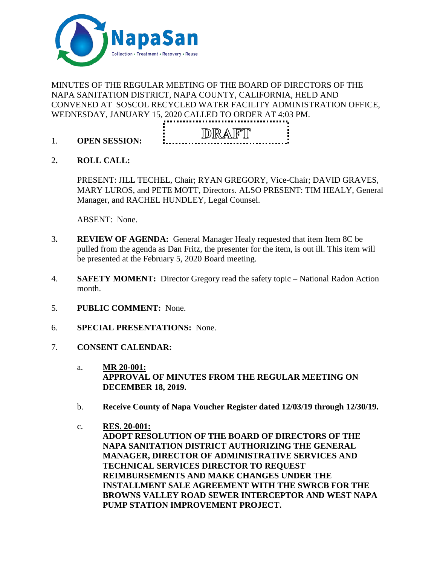

# MINUTES OF THE REGULAR MEETING OF THE BOARD OF DIRECTORS OF THE NAPA SANITATION DISTRICT, NAPA COUNTY, CALIFORNIA, HELD AND CONVENED AT SOSCOL RECYCLED WATER FACILITY ADMINISTRATION OFFICE, WEDNESDAY, JANUARY 15, 2020 CALLED TO ORDER AT 4:03 PM.



- 1. **OPEN SESSION:**
- 2**. ROLL CALL:**

PRESENT: JILL TECHEL, Chair; RYAN GREGORY, Vice-Chair; DAVID GRAVES, MARY LUROS, and PETE MOTT, Directors. ALSO PRESENT: TIM HEALY, General Manager, and RACHEL HUNDLEY, Legal Counsel.

ABSENT: None.

- 3**. REVIEW OF AGENDA:** General Manager Healy requested that item Item 8C be pulled from the agenda as Dan Fritz, the presenter for the item, is out ill. This item will be presented at the February 5, 2020 Board meeting.
- 4. **SAFETY MOMENT:** Director Gregory read the safety topic National Radon Action month.
- 5. **PUBLIC COMMENT:** None.
- 6. **SPECIAL PRESENTATIONS:** None.
- 7. **CONSENT CALENDAR:**
	- a. **MR 20-001: APPROVAL OF MINUTES FROM THE REGULAR MEETING ON DECEMBER 18, 2019.**
	- b. **Receive County of Napa Voucher Register dated 12/03/19 through 12/30/19.**
	- c. **RES. 20-001: ADOPT RESOLUTION OF THE BOARD OF DIRECTORS OF THE NAPA SANITATION DISTRICT AUTHORIZING THE GENERAL MANAGER, DIRECTOR OF ADMINISTRATIVE SERVICES AND TECHNICAL SERVICES DIRECTOR TO REQUEST REIMBURSEMENTS AND MAKE CHANGES UNDER THE INSTALLMENT SALE AGREEMENT WITH THE SWRCB FOR THE BROWNS VALLEY ROAD SEWER INTERCEPTOR AND WEST NAPA PUMP STATION IMPROVEMENT PROJECT.**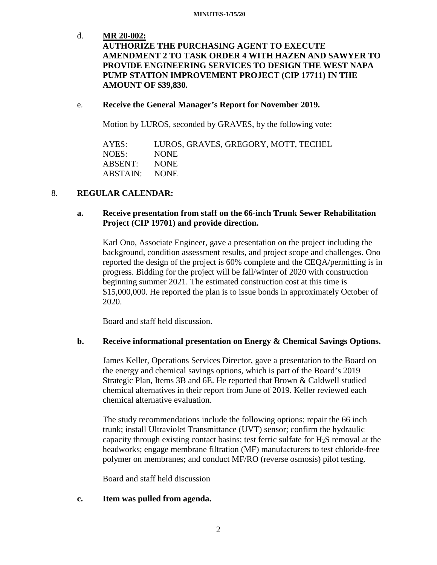#### **MINUTES-1/15/20**

## d. **MR 20-002: AUTHORIZE THE PURCHASING AGENT TO EXECUTE AMENDMENT 2 TO TASK ORDER 4 WITH HAZEN AND SAWYER TO PROVIDE ENGINEERING SERVICES TO DESIGN THE WEST NAPA PUMP STATION IMPROVEMENT PROJECT (CIP 17711) IN THE AMOUNT OF \$39,830.**

#### e. **Receive the General Manager's Report for November 2019.**

Motion by LUROS, seconded by GRAVES, by the following vote:

AYES: LUROS, GRAVES, GREGORY, MOTT, TECHEL NOES: NONE ABSENT: NONE ABSTAIN: NONE

## 8. **REGULAR CALENDAR:**

## **a. Receive presentation from staff on the 66-inch Trunk Sewer Rehabilitation Project (CIP 19701) and provide direction.**

Karl Ono, Associate Engineer, gave a presentation on the project including the background, condition assessment results, and project scope and challenges. Ono reported the design of the project is 60% complete and the CEQA/permitting is in progress. Bidding for the project will be fall/winter of 2020 with construction beginning summer 2021. The estimated construction cost at this time is \$15,000,000. He reported the plan is to issue bonds in approximately October of 2020.

Board and staff held discussion.

## **b. Receive informational presentation on Energy & Chemical Savings Options.**

James Keller, Operations Services Director, gave a presentation to the Board on the energy and chemical savings options, which is part of the Board's 2019 Strategic Plan, Items 3B and 6E. He reported that Brown & Caldwell studied chemical alternatives in their report from June of 2019. Keller reviewed each chemical alternative evaluation.

The study recommendations include the following options: repair the 66 inch trunk; install Ultraviolet Transmittance (UVT) sensor; confirm the hydraulic capacity through existing contact basins; test ferric sulfate for  $H_2S$  removal at the headworks; engage membrane filtration (MF) manufacturers to test chloride-free polymer on membranes; and conduct MF/RO (reverse osmosis) pilot testing.

Board and staff held discussion

## **c. Item was pulled from agenda.**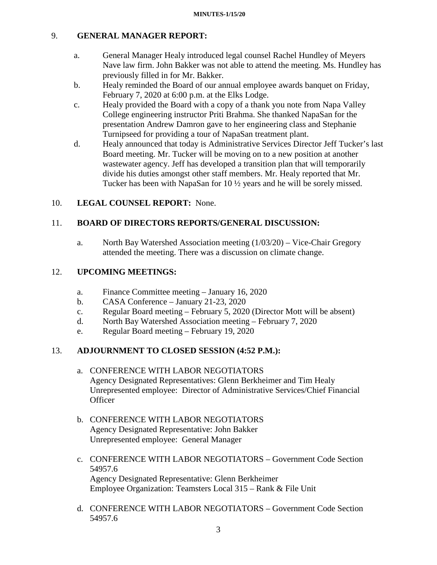# 9. **GENERAL MANAGER REPORT:**

- a. General Manager Healy introduced legal counsel Rachel Hundley of Meyers Nave law firm. John Bakker was not able to attend the meeting. Ms. Hundley has previously filled in for Mr. Bakker.
- b. Healy reminded the Board of our annual employee awards banquet on Friday, February 7, 2020 at 6:00 p.m. at the Elks Lodge.
- c. Healy provided the Board with a copy of a thank you note from Napa Valley College engineering instructor Priti Brahma. She thanked NapaSan for the presentation Andrew Damron gave to her engineering class and Stephanie Turnipseed for providing a tour of NapaSan treatment plant.
- d. Healy announced that today is Administrative Services Director Jeff Tucker's last Board meeting. Mr. Tucker will be moving on to a new position at another wastewater agency. Jeff has developed a transition plan that will temporarily divide his duties amongst other staff members. Mr. Healy reported that Mr. Tucker has been with NapaSan for 10 ½ years and he will be sorely missed.

## 10. **LEGAL COUNSEL REPORT:** None.

## 11. **BOARD OF DIRECTORS REPORTS/GENERAL DISCUSSION:**

a. North Bay Watershed Association meeting (1/03/20) – Vice-Chair Gregory attended the meeting. There was a discussion on climate change.

## 12. **UPCOMING MEETINGS:**

- a. Finance Committee meeting January 16, 2020
- b. CASA Conference January 21-23, 2020
- c. Regular Board meeting February 5, 2020 (Director Mott will be absent)
- d. North Bay Watershed Association meeting February 7, 2020
- e. Regular Board meeting February 19, 2020

# 13. **ADJOURNMENT TO CLOSED SESSION (4:52 P.M.):**

- a. CONFERENCE WITH LABOR NEGOTIATORS Agency Designated Representatives: Glenn Berkheimer and Tim Healy Unrepresented employee: Director of Administrative Services/Chief Financial **Officer**
- b. CONFERENCE WITH LABOR NEGOTIATORS Agency Designated Representative: John Bakker Unrepresented employee: General Manager
- c. CONFERENCE WITH LABOR NEGOTIATORS Government Code Section 54957.6 Agency Designated Representative: Glenn Berkheimer Employee Organization: Teamsters Local 315 – Rank & File Unit
- d. CONFERENCE WITH LABOR NEGOTIATORS Government Code Section 54957.6